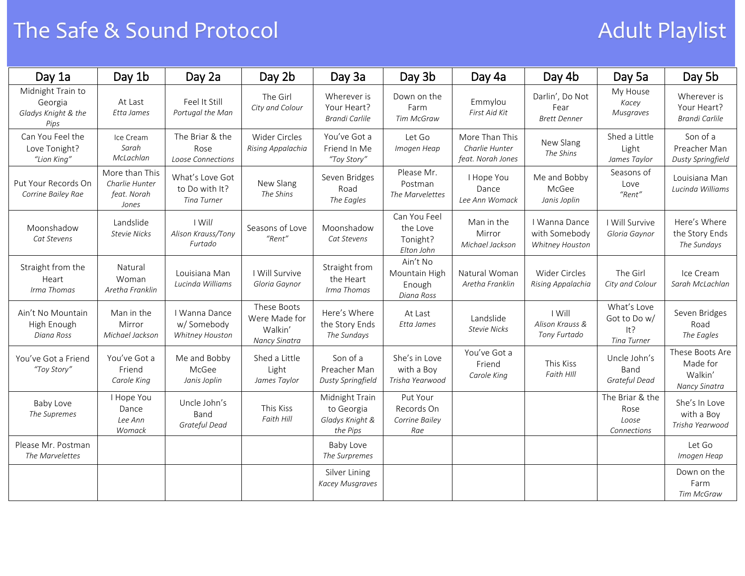## The Safe & Sound Protocol and Adult Playlist

| Day 1a                                                      | Day 1b                                                   | Day 2a                                                  | Day 2b                                                   | Day 3a                                                      | Day 3b                                             | Day 4a                                                | Day 4b                                            | Day 5a                                            | Day 5b                                                  |
|-------------------------------------------------------------|----------------------------------------------------------|---------------------------------------------------------|----------------------------------------------------------|-------------------------------------------------------------|----------------------------------------------------|-------------------------------------------------------|---------------------------------------------------|---------------------------------------------------|---------------------------------------------------------|
| Midnight Train to<br>Georgia<br>Gladys Knight & the<br>Pips | At Last<br>Etta James                                    | Feel It Still<br>Portugal the Man                       | The Girl<br>City and Colour                              | Wherever is<br>Your Heart?<br>Brandi Carlile                | Down on the<br>Farm<br>Tim McGraw                  | Emmylou<br>First Aid Kit                              | Darlin', Do Not<br>Fear<br><b>Brett Denner</b>    | My House<br>Kacey<br>Musgraves                    | Wherever is<br>Your Heart?<br>Brandi Carlile            |
| Can You Feel the<br>Love Tonight?<br>"Lion King"            | Ice Cream<br>Sarah<br>McLachlan                          | The Briar & the<br>Rose<br>Loose Connections            | <b>Wider Circles</b><br>Rising Appalachia                | You've Got a<br>Friend In Me<br>"Toy Story"                 | Let Go<br>Imogen Heap                              | More Than This<br>Charlie Hunter<br>feat. Norah Jones | New Slang<br>The Shins                            | Shed a Little<br>Light<br>James Taylor            | Son of a<br>Preacher Man<br>Dusty Springfield           |
| Put Your Records On<br>Corrine Bailey Rae                   | More than This<br>Charlie Hunter<br>feat. Norah<br>Jones | What's Love Got<br>to Do with It?<br><b>Tina Turner</b> | New Slang<br>The Shins                                   | Seven Bridges<br>Road<br>The Eagles                         | Please Mr.<br>Postman<br>The Marvelettes           | I Hope You<br>Dance<br>Lee Ann Womack                 | Me and Bobby<br>McGee<br>Janis Joplin             | Seasons of<br>Love<br>"Rent"                      | Louisiana Man<br>Lucinda Williams                       |
| Moonshadow<br>Cat Stevens                                   | Landslide<br><b>Stevie Nicks</b>                         | I Will<br>Alison Krauss/Tony<br>Furtado                 | Seasons of Love<br>"Rent"                                | Moonshadow<br>Cat Stevens                                   | Can You Feel<br>the Love<br>Tonight?<br>Elton John | Man in the<br>Mirror<br>Michael Jackson               | I Wanna Dance<br>with Somebody<br>Whitney Houston | I Will Survive<br>Gloria Gaynor                   | Here's Where<br>the Story Ends<br>The Sundays           |
| Straight from the<br>Heart<br>Irma Thomas                   | Natural<br>Woman<br>Aretha Franklin                      | Louisiana Man<br>Lucinda Williams                       | I Will Survive<br>Gloria Gaynor                          | Straight from<br>the Heart<br>Irma Thomas                   | Ain't No<br>Mountain High<br>Enough<br>Diana Ross  | Natural Woman<br>Aretha Franklin                      | <b>Wider Circles</b><br>Rising Appalachia         | The Girl<br>City and Colour                       | Ice Cream<br>Sarah McLachlan                            |
| Ain't No Mountain<br>High Enough<br>Diana Ross              | Man in the<br>Mirror<br>Michael Jackson                  | I Wanna Dance<br>w/Somebody<br>Whitney Houston          | These Boots<br>Were Made for<br>Walkin'<br>Nancy Sinatra | Here's Where<br>the Story Ends<br>The Sundays               | At Last<br>Etta James                              | Landslide<br><b>Stevie Nicks</b>                      | I Will<br>Alison Krauss &<br>Tony Furtado         | What's Love<br>Got to Do w/<br>It?<br>Tina Turner | Seven Bridges<br>Road<br>The Eagles                     |
| You've Got a Friend<br>"Toy Story"                          | You've Got a<br>Friend<br>Carole King                    | Me and Bobby<br>McGee<br>Janis Joplin                   | Shed a Little<br>Light<br>James Taylor                   | Son of a<br>Preacher Man<br>Dusty Springfield               | She's in Love<br>with a Boy<br>Trisha Yearwood     | You've Got a<br>Friend<br>Carole King                 | This Kiss<br>Faith HIII                           | Uncle John's<br>Band<br>Grateful Dead             | These Boots Are<br>Made for<br>Walkin'<br>Nancy Sinatra |
| Baby Love<br>The Supremes                                   | I Hope You<br>Dance<br>Lee Ann<br>Womack                 | Uncle John's<br>Band<br>Grateful Dead                   | This Kiss<br>Faith Hill                                  | Midnight Train<br>to Georgia<br>Gladys Knight &<br>the Pips | Put Your<br>Records On<br>Corrine Bailey<br>Rae    |                                                       |                                                   | The Briar & the<br>Rose<br>Loose<br>Connections   | She's In Love<br>with a Boy<br>Trisha Yearwood          |
| Please Mr. Postman<br>The Marvelettes                       |                                                          |                                                         |                                                          | Baby Love<br>The Surpremes                                  |                                                    |                                                       |                                                   |                                                   | Let Go<br>Imogen Heap                                   |
|                                                             |                                                          |                                                         |                                                          | Silver Lining<br><b>Kacey Musgraves</b>                     |                                                    |                                                       |                                                   |                                                   | Down on the<br>Farm<br><b>Tim McGraw</b>                |